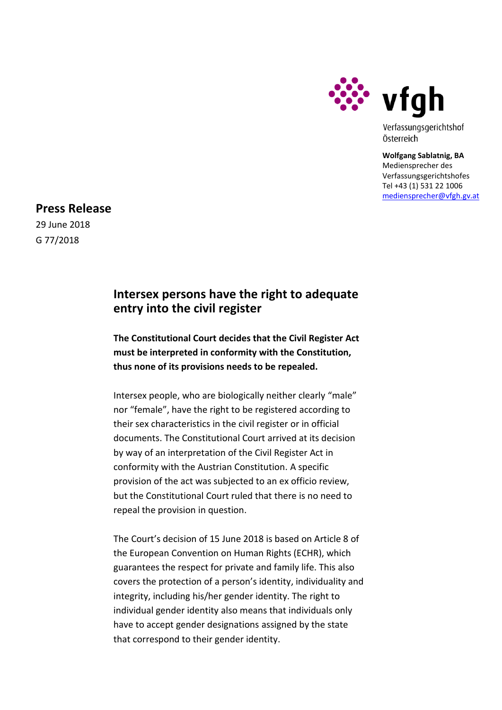

Verfassungsgerichtshof Österreich

**Wolfgang Sablatnig, BA** Mediensprecher des Verfassungsgerichtshofes Tel +43 (1) 531 22 1006 [mediensprecher@vfgh.gv.at](mailto:mediensprecher@vfgh.gv.at)

**Press Release**

29 June 2018 G 77/2018

## **Intersex persons have the right to adequate entry into the civil register**

**The Constitutional Court decides that the Civil Register Act must be interpreted in conformity with the Constitution, thus none of its provisions needs to be repealed.**

Intersex people, who are biologically neither clearly "male" nor "female", have the right to be registered according to their sex characteristics in the civil register or in official documents. The Constitutional Court arrived at its decision by way of an interpretation of the Civil Register Act in conformity with the Austrian Constitution. A specific provision of the act was subjected to an ex officio review, but the Constitutional Court ruled that there is no need to repeal the provision in question.

The Court's decision of 15 June 2018 is based on Article 8 of the European Convention on Human Rights (ECHR), which guarantees the respect for private and family life. This also covers the protection of a person's identity, individuality and integrity, including his/her gender identity. The right to individual gender identity also means that individuals only have to accept gender designations assigned by the state that correspond to their gender identity.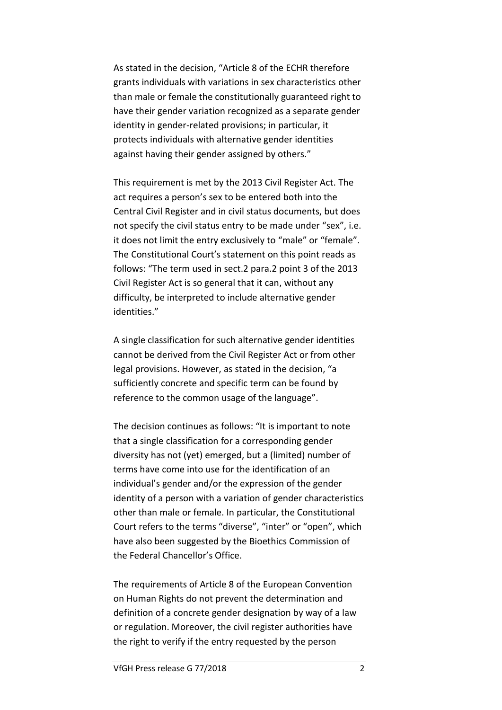As stated in the decision, "Article 8 of the ECHR therefore grants individuals with variations in sex characteristics other than male or female the constitutionally guaranteed right to have their gender variation recognized as a separate gender identity in gender-related provisions; in particular, it protects individuals with alternative gender identities against having their gender assigned by others."

This requirement is met by the 2013 Civil Register Act. The act requires a person's sex to be entered both into the Central Civil Register and in civil status documents, but does not specify the civil status entry to be made under "sex", i.e. it does not limit the entry exclusively to "male" or "female". The Constitutional Court's statement on this point reads as follows: "The term used in sect.2 para.2 point 3 of the 2013 Civil Register Act is so general that it can, without any difficulty, be interpreted to include alternative gender identities."

A single classification for such alternative gender identities cannot be derived from the Civil Register Act or from other legal provisions. However, as stated in the decision, "a sufficiently concrete and specific term can be found by reference to the common usage of the language".

The decision continues as follows: "It is important to note that a single classification for a corresponding gender diversity has not (yet) emerged, but a (limited) number of terms have come into use for the identification of an individual's gender and/or the expression of the gender identity of a person with a variation of gender characteristics other than male or female. In particular, the Constitutional Court refers to the terms "diverse", "inter" or "open", which have also been suggested by the Bioethics Commission of the Federal Chancellor's Office.

The requirements of Article 8 of the European Convention on Human Rights do not prevent the determination and definition of a concrete gender designation by way of a law or regulation. Moreover, the civil register authorities have the right to verify if the entry requested by the person